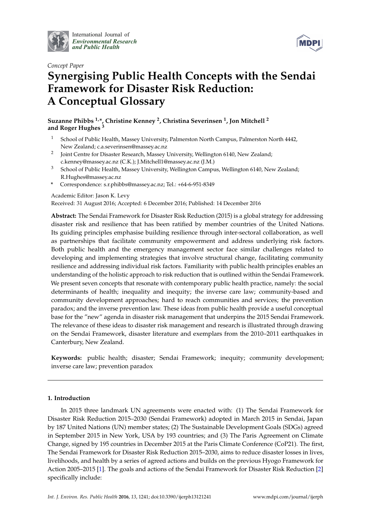

International Journal of *[Environmental Research](http://www.mdpi.com/journal/ijerph) and Public Health*





# **Synergising Public Health Concepts with the Sendai Framework for Disaster Risk Reduction: A Conceptual Glossary**

**Suzanne Phibbs 1,\*, Christine Kenney <sup>2</sup> , Christina Severinsen <sup>1</sup> , Jon Mitchell <sup>2</sup> and Roger Hughes <sup>3</sup>**

- <sup>1</sup> School of Public Health, Massey University, Palmerston North Campus, Palmerston North 4442, New Zealand; c.a.severinsen@massey.ac.nz
- 2 Joint Centre for Disaster Research, Massey University, Wellington 6140, New Zealand; c.kenney@massey.ac.nz (C.K.); J.Mitchell1@massey.ac.nz (J.M.)
- <sup>3</sup> School of Public Health, Massey University, Wellington Campus, Wellington 6140, New Zealand; R.Hughes@massey.ac.nz
- **\*** Correspondence: s.r.phibbs@massey.ac.nz; Tel.: +64-6-951-8349

## Academic Editor: Jason K. Levy

Received: 31 August 2016; Accepted: 6 December 2016; Published: 14 December 2016

**Abstract:** The Sendai Framework for Disaster Risk Reduction (2015) is a global strategy for addressing disaster risk and resilience that has been ratified by member countries of the United Nations. Its guiding principles emphasise building resilience through inter-sectoral collaboration, as well as partnerships that facilitate community empowerment and address underlying risk factors. Both public health and the emergency management sector face similar challenges related to developing and implementing strategies that involve structural change, facilitating community resilience and addressing individual risk factors. Familiarity with public health principles enables an understanding of the holistic approach to risk reduction that is outlined within the Sendai Framework. We present seven concepts that resonate with contemporary public health practice, namely: the social determinants of health; inequality and inequity; the inverse care law; community-based and community development approaches; hard to reach communities and services; the prevention paradox; and the inverse prevention law. These ideas from public health provide a useful conceptual base for the "new" agenda in disaster risk management that underpins the 2015 Sendai Framework. The relevance of these ideas to disaster risk management and research is illustrated through drawing on the Sendai Framework, disaster literature and exemplars from the 2010–2011 earthquakes in Canterbury, New Zealand.

**Keywords:** public health; disaster; Sendai Framework; inequity; community development; inverse care law; prevention paradox

# **1. Introduction**

In 2015 three landmark UN agreements were enacted with: (1) The Sendai Framework for Disaster Risk Reduction 2015–2030 (Sendai Framework) adopted in March 2015 in Sendai, Japan by 187 United Nations (UN) member states; (2) The Sustainable Development Goals (SDGs) agreed in September 2015 in New York, USA by 193 countries; and (3) The Paris Agreement on Climate Change, signed by 195 countries in December 2015 at the Paris Climate Conference (CoP21). The first, The Sendai Framework for Disaster Risk Reduction 2015–2030, aims to reduce disaster losses in lives, livelihoods, and health by a series of agreed actions and builds on the previous Hyogo Framework for Action 2005–2015 [\[1\]](#page-16-0). The goals and actions of the Sendai Framework for Disaster Risk Reduction [\[2\]](#page-16-1) specifically include: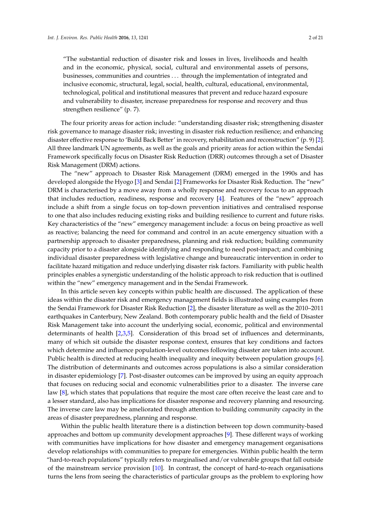"The substantial reduction of disaster risk and losses in lives, livelihoods and health and in the economic, physical, social, cultural and environmental assets of persons, businesses, communities and countries . . . through the implementation of integrated and inclusive economic, structural, legal, social, health, cultural, educational, environmental, technological, political and institutional measures that prevent and reduce hazard exposure and vulnerability to disaster, increase preparedness for response and recovery and thus strengthen resilience" (p. 7).

The four priority areas for action include: "understanding disaster risk; strengthening disaster risk governance to manage disaster risk; investing in disaster risk reduction resilience; and enhancing disaster effective response to 'Build Back Better' in recovery, rehabilitation and reconstruction" (p. 9) [\[2\]](#page-16-1). All three landmark UN agreements, as well as the goals and priority areas for action within the Sendai Framework specifically focus on Disaster Risk Reduction (DRR) outcomes through a set of Disaster Risk Management (DRM) actions.

The "new" approach to Disaster Risk Management (DRM) emerged in the 1990s and has developed alongside the Hyogo [\[3\]](#page-16-2) and Sendai [\[2\]](#page-16-1) Frameworks for Disaster Risk Reduction. The "new" DRM is characterised by a move away from a wholly response and recovery focus to an approach that includes reduction, readiness, response and recovery [\[4\]](#page-16-3). Features of the "new" approach include a shift from a single focus on top-down prevention initiatives and centralised response to one that also includes reducing existing risks and building resilience to current and future risks. Key characteristics of the "new" emergency management include: a focus on being proactive as well as reactive; balancing the need for command and control in an acute emergency situation with a partnership approach to disaster preparedness, planning and risk reduction; building community capacity prior to a disaster alongside identifying and responding to need post-impact; and combining individual disaster preparedness with legislative change and bureaucratic intervention in order to facilitate hazard mitigation and reduce underlying disaster risk factors. Familiarity with public health principles enables a synergistic understanding of the holistic approach to risk reduction that is outlined within the "new" emergency management and in the Sendai Framework.

In this article seven key concepts within public health are discussed. The application of these ideas within the disaster risk and emergency management fields is illustrated using examples from the Sendai Framework for Disaster Risk Reduction [\[2\]](#page-16-1), the disaster literature as well as the 2010–2011 earthquakes in Canterbury, New Zealand. Both contemporary public health and the field of Disaster Risk Management take into account the underlying social, economic, political and environmental determinants of health [\[2](#page-16-1)[,3](#page-16-2)[,5\]](#page-16-4). Consideration of this broad set of influences and determinants, many of which sit outside the disaster response context, ensures that key conditions and factors which determine and influence population-level outcomes following disaster are taken into account. Public health is directed at reducing health inequality and inequity between population groups [\[6\]](#page-16-5). The distribution of determinants and outcomes across populations is also a similar consideration in disaster epidemiology [\[7\]](#page-16-6). Post-disaster outcomes can be improved by using an equity approach that focuses on reducing social and economic vulnerabilities prior to a disaster. The inverse care law [\[8\]](#page-16-7), which states that populations that require the most care often receive the least care and to a lesser standard, also has implications for disaster response and recovery planning and resourcing. The inverse care law may be ameliorated through attention to building community capacity in the areas of disaster preparedness, planning and response.

Within the public health literature there is a distinction between top down community-based approaches and bottom up community development approaches [\[9\]](#page-16-8). These different ways of working with communities have implications for how disaster and emergency management organisations develop relationships with communities to prepare for emergencies. Within public health the term "hard-to-reach populations" typically refers to marginalised and/or vulnerable groups that fall outside of the mainstream service provision [\[10\]](#page-16-9). In contrast, the concept of hard-to-reach organisations turns the lens from seeing the characteristics of particular groups as the problem to exploring how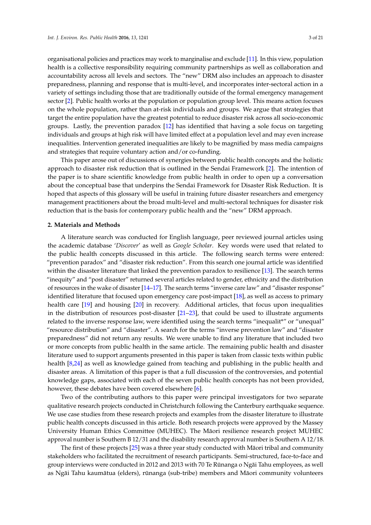organisational policies and practices may work to marginalise and exclude [\[11\]](#page-16-10). In this view, population health is a collective responsibility requiring community partnerships as well as collaboration and accountability across all levels and sectors. The "new" DRM also includes an approach to disaster preparedness, planning and response that is multi-level, and incorporates inter-sectoral action in a variety of settings including those that are traditionally outside of the formal emergency management sector [\[2\]](#page-16-1). Public health works at the population or population group level. This means action focuses on the whole population, rather than at-risk individuals and groups. We argue that strategies that target the entire population have the greatest potential to reduce disaster risk across all socio-economic groups. Lastly, the prevention paradox [\[12\]](#page-16-11) has identified that having a sole focus on targeting individuals and groups at high risk will have limited effect at a population level and may even increase inequalities. Intervention generated inequalities are likely to be magnified by mass media campaigns and strategies that require voluntary action and/or co-funding.

This paper arose out of discussions of synergies between public health concepts and the holistic approach to disaster risk reduction that is outlined in the Sendai Framework [\[2\]](#page-16-1). The intention of the paper is to share scientific knowledge from public health in order to open up a conversation about the conceptual base that underpins the Sendai Framework for Disaster Risk Reduction. It is hoped that aspects of this glossary will be useful in training future disaster researchers and emergency management practitioners about the broad multi-level and multi-sectoral techniques for disaster risk reduction that is the basis for contemporary public health and the "new" DRM approach.

#### **2. Materials and Methods**

A literature search was conducted for English language, peer reviewed journal articles using the academic database '*Discover*' as well as *Google Scholar*. Key words were used that related to the public health concepts discussed in this article. The following search terms were entered: "prevention paradox" and "disaster risk reduction". From this search one journal article was identified within the disaster literature that linked the prevention paradox to resilience [\[13\]](#page-16-12). The search terms "inequity" and "post disaster" returned several articles related to gender, ethnicity and the distribution of resources in the wake of disaster [\[14](#page-16-13)[–17\]](#page-17-0). The search terms "inverse care law" and "disaster response" identified literature that focused upon emergency care post-impact [\[18\]](#page-17-1), as well as access to primary health care [\[19\]](#page-17-2) and housing [\[20\]](#page-17-3) in recovery. Additional articles, that focus upon inequalities in the distribution of resources post-disaster [\[21](#page-17-4)[–23\]](#page-17-5), that could be used to illustrate arguments related to the inverse response law, were identified using the search terms "inequalit\*" or "unequal" "resource distribution" and "disaster". A search for the terms "inverse prevention law" and "disaster preparedness" did not return any results. We were unable to find any literature that included two or more concepts from public health in the same article. The remaining public health and disaster literature used to support arguments presented in this paper is taken from classic texts within public health [\[8,](#page-16-7)[24\]](#page-17-6) as well as knowledge gained from teaching and publishing in the public health and disaster areas. A limitation of this paper is that a full discussion of the controversies, and potential knowledge gaps, associated with each of the seven public health concepts has not been provided, however, these debates have been covered elsewhere [\[6\]](#page-16-5).

Two of the contributing authors to this paper were principal investigators for two separate qualitative research projects conducted in Christchurch following the Canterbury earthquake sequence. We use case studies from these research projects and examples from the disaster literature to illustrate public health concepts discussed in this article. Both research projects were approved by the Massey University Human Ethics Committee (MUHEC). The Māori resilience research project MUHEC approval number is Southern B 12/31 and the disability research approval number is Southern A 12/18.

The first of these projects  $[25]$  was a three year study conducted with Māori tribal and community stakeholders who facilitated the recruitment of research participants. Semi-structured, face-to-face and group interviews were conducted in 2012 and 2013 with 70 Te Rūnanga o Ngai Tahu employees, as well as Ngāi Tahu kaumātua (elders), rūnanga (sub-tribe) members and Māori community volunteers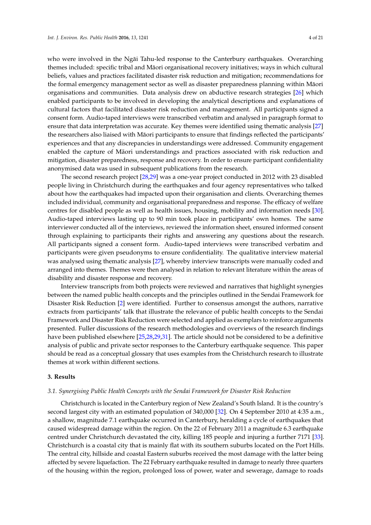who were involved in the Ngai Tahu-led response to the Canterbury earthquakes. Overarching themes included: specific tribal and Maori organisational recovery initiatives; ways in which cultural ¯ beliefs, values and practices facilitated disaster risk reduction and mitigation; recommendations for the formal emergency management sector as well as disaster preparedness planning within Maori ¯ organisations and communities. Data analysis drew on abductive research strategies [\[26\]](#page-17-8) which enabled participants to be involved in developing the analytical descriptions and explanations of cultural factors that facilitated disaster risk reduction and management. All participants signed a consent form. Audio-taped interviews were transcribed verbatim and analysed in paragraph format to ensure that data interpretation was accurate. Key themes were identified using thematic analysis [\[27\]](#page-17-9) the researchers also liaised with Māori participants to ensure that findings reflected the participants' experiences and that any discrepancies in understandings were addressed. Community engagement enabled the capture of Maori understandings and practices associated with risk reduction and ¯ mitigation, disaster preparedness, response and recovery. In order to ensure participant confidentiality anonymised data was used in subsequent publications from the research.

The second research project [\[28](#page-17-10)[,29\]](#page-17-11) was a one-year project conducted in 2012 with 23 disabled people living in Christchurch during the earthquakes and four agency representatives who talked about how the earthquakes had impacted upon their organisation and clients. Overarching themes included individual, community and organisational preparedness and response. The efficacy of welfare centres for disabled people as well as health issues, housing, mobility and information needs [\[30\]](#page-17-12). Audio-taped interviews lasting up to 90 min took place in participants' own homes. The same interviewer conducted all of the interviews, reviewed the information sheet, ensured informed consent through explaining to participants their rights and answering any questions about the research. All participants signed a consent form. Audio-taped interviews were transcribed verbatim and participants were given pseudonyms to ensure confidentiality. The qualitative interview material was analysed using thematic analysis [\[27\]](#page-17-9), whereby interview transcripts were manually coded and arranged into themes. Themes were then analysed in relation to relevant literature within the areas of disability and disaster response and recovery.

Interview transcripts from both projects were reviewed and narratives that highlight synergies between the named public health concepts and the principles outlined in the Sendai Framework for Disaster Risk Reduction [\[2\]](#page-16-1) were identified. Further to consensus amongst the authors, narrative extracts from participants' talk that illustrate the relevance of public health concepts to the Sendai Framework and Disaster Risk Reduction were selected and applied as exemplars to reinforce arguments presented. Fuller discussions of the research methodologies and overviews of the research findings have been published elsewhere [\[25,](#page-17-7)[28,](#page-17-10)[29](#page-17-11)[,31\]](#page-17-13). The article should not be considered to be a definitive analysis of public and private sector responses to the Canterbury earthquake sequence. This paper should be read as a conceptual glossary that uses examples from the Christchurch research to illustrate themes at work within different sections.

## **3. Results**

#### *3.1. Synergising Public Health Concepts with the Sendai Framework for Disaster Risk Reduction*

Christchurch is located in the Canterbury region of New Zealand's South Island. It is the country's second largest city with an estimated population of 340,000 [\[32\]](#page-17-14). On 4 September 2010 at 4:35 a.m., a shallow, magnitude 7.1 earthquake occurred in Canterbury, heralding a cycle of earthquakes that caused widespread damage within the region. On the 22 of February 2011 a magnitude 6.3 earthquake centred under Christchurch devastated the city, killing 185 people and injuring a further 7171 [\[33\]](#page-17-15). Christchurch is a coastal city that is mainly flat with its southern suburbs located on the Port Hills. The central city, hillside and coastal Eastern suburbs received the most damage with the latter being affected by severe liquefaction. The 22 February earthquake resulted in damage to nearly three quarters of the housing within the region, prolonged loss of power, water and sewerage, damage to roads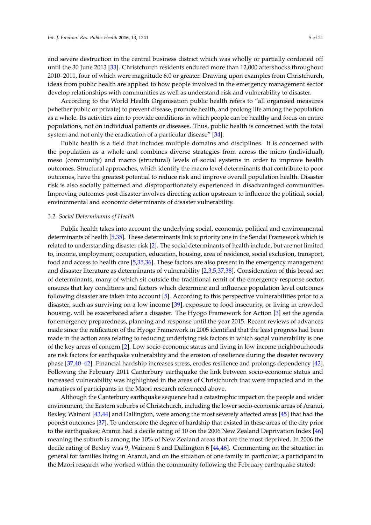and severe destruction in the central business district which was wholly or partially cordoned off until the 30 June 2013 [\[33\]](#page-17-15). Christchurch residents endured more than 12,000 aftershocks throughout 2010–2011, four of which were magnitude 6.0 or greater. Drawing upon examples from Christchurch, ideas from public health are applied to how people involved in the emergency management sector develop relationships with communities as well as understand risk and vulnerability to disaster.

According to the World Health Organisation public health refers to "all organised measures (whether public or private) to prevent disease, promote health, and prolong life among the population as a whole. Its activities aim to provide conditions in which people can be healthy and focus on entire populations, not on individual patients or diseases. Thus, public health is concerned with the total system and not only the eradication of a particular disease" [\[34\]](#page-17-16).

Public health is a field that includes multiple domains and disciplines. It is concerned with the population as a whole and combines diverse strategies from across the micro (individual), meso (community) and macro (structural) levels of social systems in order to improve health outcomes. Structural approaches, which identify the macro level determinants that contribute to poor outcomes, have the greatest potential to reduce risk and improve overall population health. Disaster risk is also socially patterned and disproportionately experienced in disadvantaged communities. Improving outcomes post disaster involves directing action upstream to influence the political, social, environmental and economic determinants of disaster vulnerability.

#### *3.2. Social Determinants of Health*

Public health takes into account the underlying social, economic, political and environmental determinants of health [\[5,](#page-16-4)[35\]](#page-17-17). These determinants link to priority one in the Sendai Framework which is related to understanding disaster risk [\[2\]](#page-16-1). The social determinants of health include, but are not limited to, income, employment, occupation, education, housing, area of residence, social exclusion, transport, food and access to health care [\[5,](#page-16-4)[35,](#page-17-17)[36\]](#page-17-18). These factors are also present in the emergency management and disaster literature as determinants of vulnerability [\[2](#page-16-1)[,3](#page-16-2)[,5](#page-16-4)[,37](#page-17-19)[,38\]](#page-17-20). Consideration of this broad set of determinants, many of which sit outside the traditional remit of the emergency response sector, ensures that key conditions and factors which determine and influence population level outcomes following disaster are taken into account [\[5\]](#page-16-4). According to this perspective vulnerabilities prior to a disaster, such as surviving on a low income [\[39\]](#page-17-21), exposure to food insecurity, or living in crowded housing, will be exacerbated after a disaster. The Hyogo Framework for Action [\[3\]](#page-16-2) set the agenda for emergency preparedness, planning and response until the year 2015. Recent reviews of advances made since the ratification of the Hyogo Framework in 2005 identified that the least progress had been made in the action area relating to reducing underlying risk factors in which social vulnerability is one of the key areas of concern [\[2\]](#page-16-1). Low socio-economic status and living in low income neighbourhoods are risk factors for earthquake vulnerability and the erosion of resilience during the disaster recovery phase [\[37,](#page-17-19)[40–](#page-18-0)[42\]](#page-18-1). Financial hardship increases stress, erodes resilience and prolongs dependency [\[42\]](#page-18-1). Following the February 2011 Canterbury earthquake the link between socio-economic status and increased vulnerability was highlighted in the areas of Christchurch that were impacted and in the narratives of participants in the Māori research referenced above.

Although the Canterbury earthquake sequence had a catastrophic impact on the people and wider environment, the Eastern suburbs of Christchurch, including the lower socio-economic areas of Aranui, Bexley, Wainoni [\[43](#page-18-2)[,44\]](#page-18-3) and Dallington, were among the most severely affected areas [\[45\]](#page-18-4) that had the poorest outcomes [\[37\]](#page-17-19). To underscore the degree of hardship that existed in these areas of the city prior to the earthquakes; Aranui had a decile rating of 10 on the 2006 New Zealand Deprivation Index [\[46\]](#page-18-5) meaning the suburb is among the 10% of New Zealand areas that are the most deprived. In 2006 the decile rating of Bexley was 9, Wainoni 8 and Dallington 6 [\[44,](#page-18-3)[46\]](#page-18-5). Commenting on the situation in general for families living in Aranui, and on the situation of one family in particular, a participant in the Māori research who worked within the community following the February earthquake stated: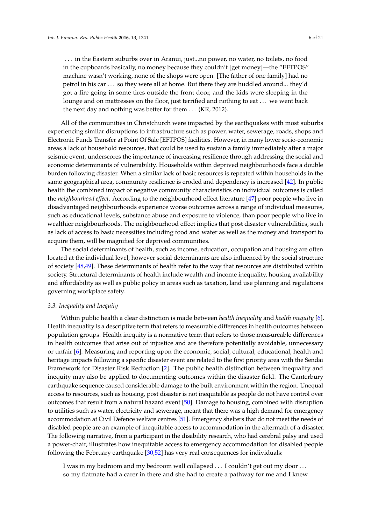. . . in the Eastern suburbs over in Aranui, just...no power, no water, no toilets, no food in the cupboards basically, no money because they couldn't [get money]—the "EFTPOS" machine wasn't working, none of the shops were open. [The father of one family] had no petrol in his car . . . so they were all at home. But there they are huddled around... they'd got a fire going in some tires outside the front door, and the kids were sleeping in the lounge and on mattresses on the floor, just terrified and nothing to eat . . . we went back the next day and nothing was better for them . . . (KR, 2012).

All of the communities in Christchurch were impacted by the earthquakes with most suburbs experiencing similar disruptions to infrastructure such as power, water, sewerage, roads, shops and Electronic Funds Transfer at Point Of Sale [EFTPOS] facilities. However, in many lower socio-economic areas a lack of household resources, that could be used to sustain a family immediately after a major seismic event, underscores the importance of increasing resilience through addressing the social and economic determinants of vulnerability. Households within deprived neighbourhoods face a double burden following disaster. When a similar lack of basic resources is repeated within households in the same geographical area, community resilience is eroded and dependency is increased [\[42\]](#page-18-1). In public health the combined impact of negative community characteristics on individual outcomes is called the *neighbourhood effect*. According to the neighbourhood effect literature [\[47\]](#page-18-6) poor people who live in disadvantaged neighbourhoods experience worse outcomes across a range of individual measures, such as educational levels, substance abuse and exposure to violence, than poor people who live in wealthier neighbourhoods. The neighbourhood effect implies that post disaster vulnerabilities, such as lack of access to basic necessities including food and water as well as the money and transport to acquire them, will be magnified for deprived communities.

The social determinants of health, such as income, education, occupation and housing are often located at the individual level, however social determinants are also influenced by the social structure of society [\[48,](#page-18-7)[49\]](#page-18-8). These determinants of health refer to the way that resources are distributed within society. Structural determinants of health include wealth and income inequality, housing availability and affordability as well as public policy in areas such as taxation, land use planning and regulations governing workplace safety.

## *3.3. Inequality and Inequity*

Within public health a clear distinction is made between *health inequality* and *health inequity* [\[6\]](#page-16-5). Health inequality is a descriptive term that refers to measurable differences in health outcomes between population groups. Health inequity is a normative term that refers to those measureable differences in health outcomes that arise out of injustice and are therefore potentially avoidable, unnecessary or unfair [\[6\]](#page-16-5). Measuring and reporting upon the economic, social, cultural, educational, health and heritage impacts following a specific disaster event are related to the first priority area with the Sendai Framework for Disaster Risk Reduction [\[2\]](#page-16-1). The public health distinction between inequality and inequity may also be applied to documenting outcomes within the disaster field. The Canterbury earthquake sequence caused considerable damage to the built environment within the region. Unequal access to resources, such as housing, post disaster is not inequitable as people do not have control over outcomes that result from a natural hazard event [\[50\]](#page-18-9). Damage to housing, combined with disruption to utilities such as water, electricity and sewerage, meant that there was a high demand for emergency accommodation at Civil Defence welfare centres [\[51\]](#page-18-10). Emergency shelters that do not meet the needs of disabled people are an example of inequitable access to accommodation in the aftermath of a disaster. The following narrative, from a participant in the disability research, who had cerebral palsy and used a power-chair, illustrates how inequitable access to emergency accommodation for disabled people following the February earthquake [\[30](#page-17-12)[,52\]](#page-18-11) has very real consequences for individuals:

I was in my bedroom and my bedroom wall collapsed . . . I couldn't get out my door . . . so my flatmate had a carer in there and she had to create a pathway for me and I knew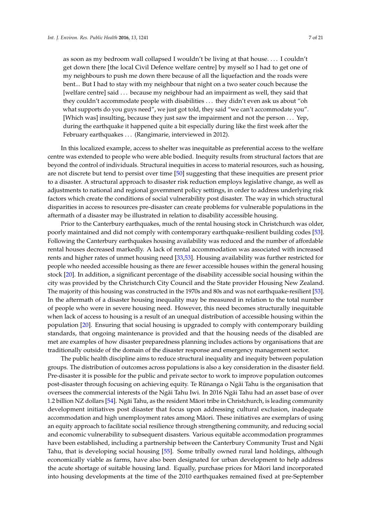as soon as my bedroom wall collapsed I wouldn't be living at that house. . . . I couldn't get down there [the local Civil Defence welfare centre] by myself so I had to get one of my neighbours to push me down there because of all the liquefaction and the roads were bent... But I had to stay with my neighbour that night on a two seater couch because the [welfare centre] said . . . because my neighbour had an impairment as well, they said that they couldn't accommodate people with disabilities . . . they didn't even ask us about "oh what supports do you guys need", we just got told, they said "we can't accommodate you". [Which was] insulting, because they just saw the impairment and not the person . . . Yep, during the earthquake it happened quite a bit especially during like the first week after the February earthquakes . . . (Rangimarie, interviewed in 2012).

In this localized example, access to shelter was inequitable as preferential access to the welfare centre was extended to people who were able bodied. Inequity results from structural factors that are beyond the control of individuals. Structural inequities in access to material resources, such as housing, are not discrete but tend to persist over time [\[50\]](#page-18-9) suggesting that these inequities are present prior to a disaster. A structural approach to disaster risk reduction employs legislative change, as well as adjustments to national and regional government policy settings, in order to address underlying risk factors which create the conditions of social vulnerability post disaster. The way in which structural disparities in access to resources pre-disaster can create problems for vulnerable populations in the aftermath of a disaster may be illustrated in relation to disability accessible housing.

Prior to the Canterbury earthquakes, much of the rental housing stock in Christchurch was older, poorly maintained and did not comply with contemporary earthquake-resilient building codes [\[53\]](#page-18-12). Following the Canterbury earthquakes housing availability was reduced and the number of affordable rental houses decreased markedly. A lack of rental accommodation was associated with increased rents and higher rates of unmet housing need [\[33](#page-17-15)[,53\]](#page-18-12). Housing availability was further restricted for people who needed accessible housing as there are fewer accessible houses within the general housing stock [\[20\]](#page-17-3). In addition, a significant percentage of the disability accessible social housing within the city was provided by the Christchurch City Council and the State provider Housing New Zealand. The majority of this housing was constructed in the 1970s and 80s and was not earthquake-resilient [\[53\]](#page-18-12). In the aftermath of a disaster housing inequality may be measured in relation to the total number of people who were in severe housing need. However, this need becomes structurally inequitable when lack of access to housing is a result of an unequal distribution of accessible housing within the population [\[20\]](#page-17-3). Ensuring that social housing is upgraded to comply with contemporary building standards, that ongoing maintenance is provided and that the housing needs of the disabled are met are examples of how disaster preparedness planning includes actions by organisations that are traditionally outside of the domain of the disaster response and emergency management sector.

The public health discipline aims to reduce structural inequality and inequity between population groups. The distribution of outcomes across populations is also a key consideration in the disaster field. Pre-disaster it is possible for the public and private sector to work to improve population outcomes post-disaster through focusing on achieving equity. Te Rūnanga o Ngai Tahu is the organisation that oversees the commercial interests of the Ngai Tahu Iwi. In 2016 Ngai Tahu had an asset base of over 1.2 billion NZ dollars [\[54\]](#page-18-13). Ngāi Tahu, as the resident Māori tribe in Christchurch, is leading community development initiatives post disaster that focus upon addressing cultural exclusion, inadequate accommodation and high unemployment rates among Maori. These initiatives are exemplars of using ¯ an equity approach to facilitate social resilience through strengthening community, and reducing social and economic vulnerability to subsequent disasters. Various equitable accommodation programmes have been established, including a partnership between the Canterbury Community Trust and Ngai Tahu, that is developing social housing [\[55\]](#page-18-14). Some tribally owned rural land holdings, although economically viable as farms, have also been designated for urban development to help address the acute shortage of suitable housing land. Equally, purchase prices for Māori land incorporated into housing developments at the time of the 2010 earthquakes remained fixed at pre-September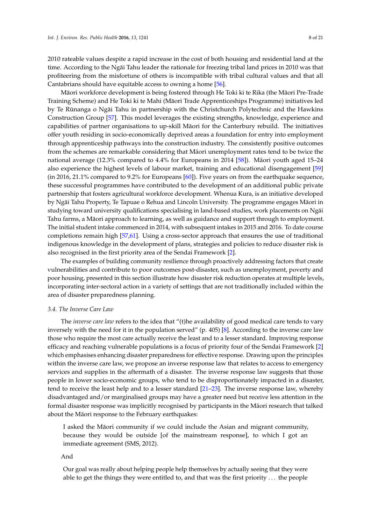2010 rateable values despite a rapid increase in the cost of both housing and residential land at the time. According to the Ngai Tahu leader the rationale for freezing tribal land prices in 2010 was that ¯ profiteering from the misfortune of others is incompatible with tribal cultural values and that all Cantabrians should have equitable access to owning a home [\[56\]](#page-18-15).

Māori workforce development is being fostered through He Toki ki te Rika (the Māori Pre-Trade Training Scheme) and He Toki ki te Mahi (Maori Trade Apprenticeships Programme) initiatives led ¯ by Te Rūnanga o Ngāi Tahu in partnership with the Christchurch Polytechnic and the Hawkins Construction Group [\[57\]](#page-18-16). This model leverages the existing strengths, knowledge, experience and capabilities of partner organisations to up-skill Maori for the Canterbury rebuild. The initiatives ¯ offer youth residing in socio-economically deprived areas a foundation for entry into employment through apprenticeship pathways into the construction industry. The consistently positive outcomes from the schemes are remarkable considering that Māori unemployment rates tend to be twice the national average (12.3% compared to 4.4% for Europeans in 2014 [\[58\]](#page-18-17)). Māori youth aged 15–24 also experience the highest levels of labour market, training and educational disengagement [\[59\]](#page-18-18) (in 2016, 21.1% compared to 9.2% for Europeans [\[60\]](#page-18-19)). Five years on from the earthquake sequence, these successful programmes have contributed to the development of an additional public private partnership that fosters agricultural workforce development. Whenua Kura, is an initiative developed by Ngai Tahu Property, Te Tapuae o Rehua and Lincoln University. The programme engages Maori in studying toward university qualifications specialising in land-based studies, work placements on Ngai Tahu farms, a Maori approach to learning, as well as guidance and support through to employment. ¯ The initial student intake commenced in 2014, with subsequent intakes in 2015 and 2016. To date course completions remain high [\[57,](#page-18-16)[61\]](#page-18-20). Using a cross-sector approach that ensures the use of traditional indigenous knowledge in the development of plans, strategies and policies to reduce disaster risk is also recognised in the first priority area of the Sendai Framework [\[2\]](#page-16-1).

The examples of building community resilience through proactively addressing factors that create vulnerabilities and contribute to poor outcomes post-disaster, such as unemployment, poverty and poor housing, presented in this section illustrate how disaster risk reduction operates at multiple levels, incorporating inter-sectoral action in a variety of settings that are not traditionally included within the area of disaster preparedness planning.

#### *3.4. The Inverse Care Law*

The *inverse care law* refers to the idea that "(t)he availability of good medical care tends to vary inversely with the need for it in the population served" (p. 405) [\[8\]](#page-16-7). According to the inverse care law those who require the most care actually receive the least and to a lesser standard. Improving response efficacy and reaching vulnerable populations is a focus of priority four of the Sendai Framework [\[2\]](#page-16-1) which emphasises enhancing disaster preparedness for effective response. Drawing upon the principles within the inverse care law, we propose an inverse response law that relates to access to emergency services and supplies in the aftermath of a disaster. The inverse response law suggests that those people in lower socio-economic groups, who tend to be disproportionately impacted in a disaster, tend to receive the least help and to a lesser standard [\[21–](#page-17-4)[23\]](#page-17-5). The inverse response law, whereby disadvantaged and/or marginalised groups may have a greater need but receive less attention in the formal disaster response was implicitly recognised by participants in the Māori research that talked about the Māori response to the February earthquakes:

I asked the Māori community if we could include the Asian and migrant community, because they would be outside [of the mainstream response], to which I got an immediate agreement (SMS, 2012).

#### And

Our goal was really about helping people help themselves by actually seeing that they were able to get the things they were entitled to, and that was the first priority . . . the people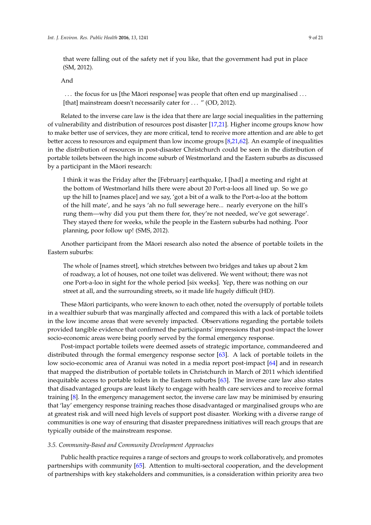that were falling out of the safety net if you like, that the government had put in place (SM, 2012).

And

 $\ldots$  the focus for us [the Māori response] was people that often end up marginalised  $\ldots$ [that] mainstream doesn't necessarily cater for ... " (OD, 2012).

Related to the inverse care law is the idea that there are large social inequalities in the patterning of vulnerability and distribution of resources post disaster [\[17,](#page-17-0)[21\]](#page-17-4). Higher income groups know how to make better use of services, they are more critical, tend to receive more attention and are able to get better access to resources and equipment than low income groups [\[8,](#page-16-7)[21,](#page-17-4)[62\]](#page-18-21). An example of inequalities in the distribution of resources in post-disaster Christchurch could be seen in the distribution of portable toilets between the high income suburb of Westmorland and the Eastern suburbs as discussed by a participant in the Māori research:

I think it was the Friday after the [February] earthquake, I [had] a meeting and right at the bottom of Westmorland hills there were about 20 Port-a-loos all lined up. So we go up the hill to [names place] and we say, 'got a bit of a walk to the Port-a-loo at the bottom of the hill mate', and he says 'ah no full sewerage here... nearly everyone on the hill's rung them—why did you put them there for, they're not needed, we've got sewerage'. They stayed there for weeks, while the people in the Eastern suburbs had nothing. Poor planning, poor follow up! (SMS, 2012).

Another participant from the Māori research also noted the absence of portable toilets in the Eastern suburbs:

The whole of [names street], which stretches between two bridges and takes up about 2 km of roadway, a lot of houses, not one toilet was delivered. We went without; there was not one Port-a-loo in sight for the whole period [six weeks]. Yep, there was nothing on our street at all, and the surrounding streets, so it made life hugely difficult (HD).

These Māori participants, who were known to each other, noted the oversupply of portable toilets in a wealthier suburb that was marginally affected and compared this with a lack of portable toilets in the low income areas that were severely impacted. Observations regarding the portable toilets provided tangible evidence that confirmed the participants' impressions that post-impact the lower socio-economic areas were being poorly served by the formal emergency response.

Post-impact portable toilets were deemed assets of strategic importance, commandeered and distributed through the formal emergency response sector [\[63\]](#page-18-22). A lack of portable toilets in the low socio-economic area of Aranui was noted in a media report post-impact [\[64\]](#page-19-0) and in research that mapped the distribution of portable toilets in Christchurch in March of 2011 which identified inequitable access to portable toilets in the Eastern suburbs [\[63\]](#page-18-22). The inverse care law also states that disadvantaged groups are least likely to engage with health care services and to receive formal training [\[8\]](#page-16-7). In the emergency management sector, the inverse care law may be minimised by ensuring that 'lay' emergency response training reaches those disadvantaged or marginalised groups who are at greatest risk and will need high levels of support post disaster. Working with a diverse range of communities is one way of ensuring that disaster preparedness initiatives will reach groups that are typically outside of the mainstream response.

## *3.5. Community-Based and Community Development Approaches*

Public health practice requires a range of sectors and groups to work collaboratively, and promotes partnerships with community [\[65\]](#page-19-1). Attention to multi-sectoral cooperation, and the development of partnerships with key stakeholders and communities, is a consideration within priority area two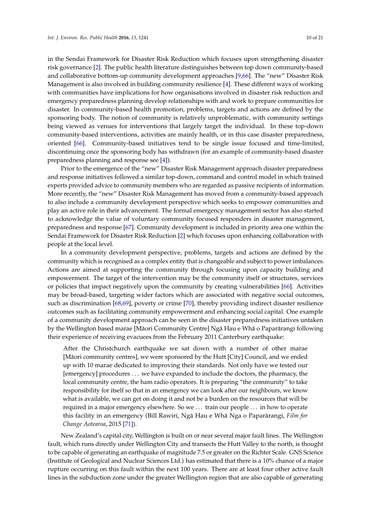in the Sendai Framework for Disaster Risk Reduction which focuses upon strengthening disaster risk governance [\[2\]](#page-16-1). The public health literature distinguishes between top down community-based and collaborative bottom-up community development approaches [\[9,](#page-16-8)[66\]](#page-19-2). The "new" Disaster Risk Management is also involved in building community resilience [\[4\]](#page-16-3). These different ways of working with communities have implications for how organisations involved in disaster risk reduction and emergency preparedness planning develop relationships with and work to prepare communities for disaster. In community-based health promotion, problems, targets and actions are defined by the sponsoring body. The notion of community is relatively unproblematic, with community settings being viewed as venues for interventions that largely target the individual. In these top-down community-based interventions, activities are mainly health, or in this case disaster preparedness, oriented [\[66\]](#page-19-2). Community-based initiatives tend to be single issue focused and time-limited, discontinuing once the sponsoring body has withdrawn (for an example of community-based disaster preparedness planning and response see [\[4\]](#page-16-3)).

Prior to the emergence of the "new" Disaster Risk Management approach disaster preparedness and response initiatives followed a similar top-down, command and control model in which trained experts provided advice to community members who are regarded as passive recipients of information. More recently, the "new" Disaster Risk Management has moved from a community-based approach to also include a community development perspective which seeks to empower communities and play an active role in their advancement. The formal emergency management sector has also started to acknowledge the value of voluntary community focused responders in disaster management, preparedness and response [\[67\]](#page-19-3). Community development is included in priority area one within the Sendai Framework for Disaster Risk Reduction [\[2\]](#page-16-1) which focuses upon enhancing collaboration with people at the local level.

In a community development perspective, problems, targets and actions are defined by the community which is recognised as a complex entity that is changeable and subject to power imbalances. Actions are aimed at supporting the community through focusing upon capacity building and empowerment. The target of the intervention may be the community itself or structures, services or policies that impact negatively upon the community by creating vulnerabilities [\[66\]](#page-19-2). Activities may be broad-based, targeting wider factors which are associated with negative social outcomes, such as discrimination [\[68](#page-19-4)[,69\]](#page-19-5), poverty or crime [\[70\]](#page-19-6), thereby providing indirect disaster resilience outcomes such as facilitating community empowerment and enhancing social capital. One example of a community development approach can be seen in the disaster preparedness initiatives untaken by the Wellington based marae [Māori Community Centre] Nga Hau e Wha o Paparārangi following their experience of receiving evacuees from the February 2011 Canterbury earthquake:

After the Christchurch earthquake we sat down with a number of other marae [Māori community centres], we were sponsored by the Hutt [City] Council, and we ended up with 10 marae dedicated to improving their standards. Not only have we tested our [emergency] procedures . . . we have expanded to include the doctors, the pharmacy, the local community centre, the ham radio operators. It is preparing "the community" to take responsibility for itself so that in an emergency we can look after our neighbours, we know what is available, we can get on doing it and not be a burden on the resources that will be required in a major emergency elsewhere. So we . . . train our people . . . in how to operate this facility in an emergency (Bill Rawiri, Ngā Hau e Whā Nga o Paparārangi, Film for *Change Aotearoa*, 2015 [\[71\]](#page-19-7)).

New Zealand's capital city, Wellington is built on or near several major fault lines. The Wellington fault, which runs directly under Wellington City and transects the Hutt Valley to the north, is thought to be capable of generating an earthquake of magnitude 7.5 or greater on the Richter Scale. GNS Science (Institute of Geological and Nuclear Sciences Ltd.) has estimated that there is a 10% chance of a major rupture occurring on this fault within the next 100 years. There are at least four other active fault lines in the subduction zone under the greater Wellington region that are also capable of generating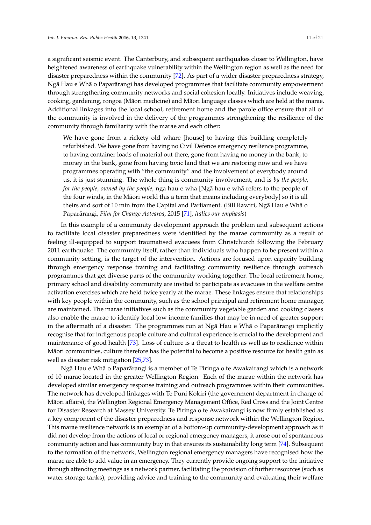a significant seismic event. The Canterbury, and subsequent earthquakes closer to Wellington, have heightened awareness of earthquake vulnerability within the Wellington region as well as the need for disaster preparedness within the community [\[72\]](#page-19-8). As part of a wider disaster preparedness strategy, Ngā Hau e Whā o Paparārangi has developed programmes that facilitate community empowerment through strengthening community networks and social cohesion locally. Initiatives include weaving, cooking, gardening, rongoa (Māori medicine) and Māori language classes which are held at the marae. Additional linkages into the local school, retirement home and the parole office ensure that all of the community is involved in the delivery of the programmes strengthening the resilience of the community through familiarity with the marae and each other:

We have gone from a rickety old whare [house] to having this building completely refurbished. We have gone from having no Civil Defence emergency resilience programme, to having container loads of material out there, gone from having no money in the bank, to money in the bank, gone from having toxic land that we are restoring now and we have programmes operating with "the community" and the involvement of everybody around us, it is just stunning. The whole thing is community involvement, and is *by the people*, *for the people, owned by the people*, nga hau e wha [Ngā hau e whā refers to the people of the four winds, in the Māori world this a term that means including everybody] so it is all theirs and sort of 10 min from the Capital and Parliament. (Bill Rawiri, Nga Hau e Wha o Paparārangi, Film for Change Aotearoa, 2015 [\[71\]](#page-19-7), *italics our emphasis*)

In this example of a community development approach the problem and subsequent actions to facilitate local disaster preparedness were identified by the marae community as a result of feeling ill-equipped to support traumatised evacuees from Christchurch following the February 2011 earthquake. The community itself, rather than individuals who happen to be present within a community setting, is the target of the intervention. Actions are focused upon capacity building through emergency response training and facilitating community resilience through outreach programmes that get diverse parts of the community working together. The local retirement home, primary school and disability community are invited to participate as evacuees in the welfare centre activation exercises which are held twice yearly at the marae. These linkages ensure that relationships with key people within the community, such as the school principal and retirement home manager, are maintained. The marae initiatives such as the community vegetable garden and cooking classes also enable the marae to identify local low income families that may be in need of greater support in the aftermath of a disaster. The programmes run at Ngā Hau e Whā o Paparārangi implicitly recognise that for indigenous people culture and cultural experience is crucial to the development and maintenance of good health [\[73\]](#page-19-9). Loss of culture is a threat to health as well as to resilience within Maori communities, culture therefore has the potential to become a positive resource for health gain as ¯ well as disaster risk mitigation [\[25,](#page-17-7)[73\]](#page-19-9).

Ngā Hau e Whā o Paparārangi is a member of Te Piringa o te Awakairangi which is a network of 10 marae located in the greater Wellington Region. Each of the marae within the network has developed similar emergency response training and outreach programmes within their communities. The network has developed linkages with Te Puni Kōkiri (the government department in charge of Maori affairs), the Wellington Regional Emergency Management Office, Red Cross and the Joint Centre ¯ for Disaster Research at Massey University. Te Piringa o te Awakairangi is now firmly established as a key component of the disaster preparedness and response network within the Wellington Region. This marae resilience network is an exemplar of a bottom-up community-development approach as it did not develop from the actions of local or regional emergency managers, it arose out of spontaneous community action and has community buy in that ensures its sustainability long term [\[74\]](#page-19-10). Subsequent to the formation of the network, Wellington regional emergency managers have recognised how the marae are able to add value in an emergency. They currently provide ongoing support to the initiative through attending meetings as a network partner, facilitating the provision of further resources (such as water storage tanks), providing advice and training to the community and evaluating their welfare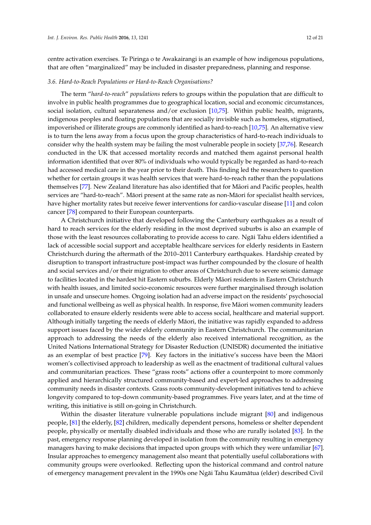centre activation exercises. Te Piringa o te Awakairangi is an example of how indigenous populations, that are often "marginalized" may be included in disaster preparedness, planning and response.

# *3.6. Hard-to-Reach Populations or Hard-to-Reach Organisations?*

The term "*hard-to-reach*" *populations* refers to groups within the population that are difficult to involve in public health programmes due to geographical location, social and economic circumstances, social isolation, cultural separateness and/or exclusion [\[10](#page-16-9)[,75\]](#page-19-11). Within public health, migrants, indigenous peoples and floating populations that are socially invisible such as homeless, stigmatised, impoverished or illiterate groups are commonly identified as hard-to-reach [\[10,](#page-16-9)[75\]](#page-19-11). An alternative view is to turn the lens away from a focus upon the group characteristics of hard-to-reach individuals to consider why the health system may be failing the most vulnerable people in society [\[37,](#page-17-19)[76\]](#page-19-12). Research conducted in the UK that accessed mortality records and matched them against personal health information identified that over 80% of individuals who would typically be regarded as hard-to-reach had accessed medical care in the year prior to their death. This finding led the researchers to question whether for certain groups it was health services that were hard-to-reach rather than the populations themselves [\[77\]](#page-19-13). New Zealand literature has also identified that for Māori and Pacific peoples, health services are "hard-to-reach". Māori present at the same rate as non-Māori for specialist health services, have higher mortality rates but receive fewer interventions for cardio-vascular disease [\[11\]](#page-16-10) and colon cancer [\[78\]](#page-19-14) compared to their European counterparts.

A Christchurch initiative that developed following the Canterbury earthquakes as a result of hard to reach services for the elderly residing in the most deprived suburbs is also an example of those with the least resources collaborating to provide access to care. Ngai Tahu elders identified a ¯ lack of accessible social support and acceptable healthcare services for elderly residents in Eastern Christchurch during the aftermath of the 2010–2011 Canterbury earthquakes. Hardship created by disruption to transport infrastructure post-impact was further compounded by the closure of health and social services and/or their migration to other areas of Christchurch due to severe seismic damage to facilities located in the hardest hit Eastern suburbs. Elderly Maori residents in Eastern Christchurch ¯ with health issues, and limited socio-economic resources were further marginalised through isolation in unsafe and unsecure homes. Ongoing isolation had an adverse impact on the residents' psychosocial and functional wellbeing as well as physical health. In response, five Maori women community leaders collaborated to ensure elderly residents were able to access social, healthcare and material support. Although initially targeting the needs of elderly Maori, the initiative was rapidly expanded to address ¯ support issues faced by the wider elderly community in Eastern Christchurch. The communitarian approach to addressing the needs of the elderly also received international recognition, as the United Nations International Strategy for Disaster Reduction (UNISDR) documented the initiative as an exemplar of best practice  $[79]$ . Key factors in the initiative's success have been the Māori women's collectivised approach to leadership as well as the enactment of traditional cultural values and communitarian practices. These "grass roots" actions offer a counterpoint to more commonly applied and hierarchically structured community-based and expert-led approaches to addressing community needs in disaster contexts. Grass roots community-development initiatives tend to achieve longevity compared to top-down community-based programmes. Five years later, and at the time of writing, this initiative is still on-going in Christchurch.

Within the disaster literature vulnerable populations include migrant [\[80\]](#page-19-16) and indigenous people, [\[81\]](#page-19-17) the elderly, [\[82\]](#page-19-18) children, medically dependent persons, homeless or shelter dependent people, physically or mentally disabled individuals and those who are rurally isolated [\[83\]](#page-19-19). In the past, emergency response planning developed in isolation from the community resulting in emergency managers having to make decisions that impacted upon groups with which they were unfamiliar [\[67\]](#page-19-3). Insular approaches to emergency management also meant that potentially useful collaborations with community groups were overlooked. Reflecting upon the historical command and control nature of emergency management prevalent in the 1990s one Ngai Tahu Kaum atua (elder) described Civil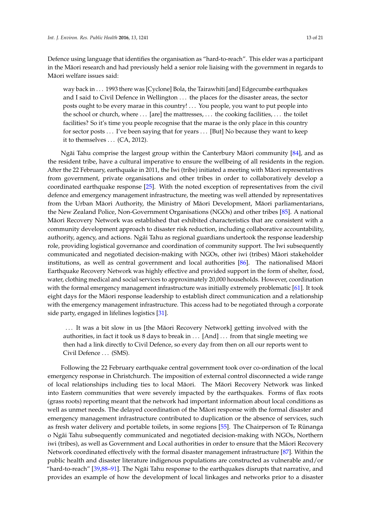Defence using language that identifies the organisation as "hard-to-reach". This elder was a participant in the Maori research and had previously held a senior role liaising with the government in regards to ¯ Māori welfare issues said:

way back in . . . 1993 there was [Cyclone] Bola, the Tairawhiti [and] Edgecumbe earthquakes and I said to Civil Defence in Wellington . . . the places for the disaster areas, the sector posts ought to be every marae in this country! . . . You people, you want to put people into the school or church, where . . . [are] the mattresses, . . . the cooking facilities, . . . the toilet facilities? So it's time you people recognise that the marae is the only place in this country for sector posts . . . I've been saying that for years . . . [But] No because they want to keep it to themselves . . . (CA, 2012).

Ngāi Tahu comprise the largest group within the Canterbury Māori community [[84\]](#page-19-20), and as the resident tribe, have a cultural imperative to ensure the wellbeing of all residents in the region. After the 22 February, earthquake in 2011, the Iwi (tribe) initiated a meeting with Māori representatives from government, private organisations and other tribes in order to collaboratively develop a coordinated earthquake response [\[25\]](#page-17-7). With the noted exception of representatives from the civil defence and emergency management infrastructure, the meeting was well attended by representatives from the Urban Māori Authority, the Ministry of Māori Development, Māori parliamentarians, the New Zealand Police, Non-Government Organisations (NGOs) and other tribes [\[85\]](#page-19-21). A national Maori Recovery Network was established that exhibited characteristics that are consistent with a ¯ community development approach to disaster risk reduction, including collaborative accountability, authority, agency, and actions. Ngai Tahu as regional guardians undertook the response leadership ¯ role, providing logistical governance and coordination of community support. The Iwi subsequently communicated and negotiated decision-making with NGOs, other iwi (tribes) Maori stakeholder ¯ institutions, as well as central government and local authorities [\[86\]](#page-20-0). The nationalised Māori Earthquake Recovery Network was highly effective and provided support in the form of shelter, food, water, clothing medical and social services to approximately 20,000 households. However, coordination with the formal emergency management infrastructure was initially extremely problematic [\[61\]](#page-18-20). It took eight days for the Māori response leadership to establish direct communication and a relationship with the emergency management infrastructure. This access had to be negotiated through a corporate side party, engaged in lifelines logistics [\[31\]](#page-17-13).

... It was a bit slow in us [the Māori Recovery Network] getting involved with the authorities, in fact it took us 8 days to break in . . . [And] . . . from that single meeting we then had a link directly to Civil Defence, so every day from then on all our reports went to Civil Defence . . . (SMS).

Following the 22 February earthquake central government took over co-ordination of the local emergency response in Christchurch. The imposition of external control disconnected a wide range of local relationships including ties to local Māori. The Māori Recovery Network was linked into Eastern communities that were severely impacted by the earthquakes. Forms of flax roots (grass roots) reporting meant that the network had important information about local conditions as well as unmet needs. The delayed coordination of the Māori response with the formal disaster and emergency management infrastructure contributed to duplication or the absence of services, such as fresh water delivery and portable toilets, in some regions [\[55\]](#page-18-14). The Chairperson of Te Rūnanga o Ngai Tahu subsequently communicated and negotiated decision-making with NGOs, Northern ¯ iwi (tribes), as well as Government and Local authorities in order to ensure that the Māori Recovery Network coordinated effectively with the formal disaster management infrastructure [\[87\]](#page-20-1). Within the public health and disaster literature indigenous populations are constructed as vulnerable and/or "hard-to-reach" [\[39](#page-17-21)[,88–](#page-20-2)[91\]](#page-20-3). The Ngāi Tahu response to the earthquakes disrupts that narrative, and provides an example of how the development of local linkages and networks prior to a disaster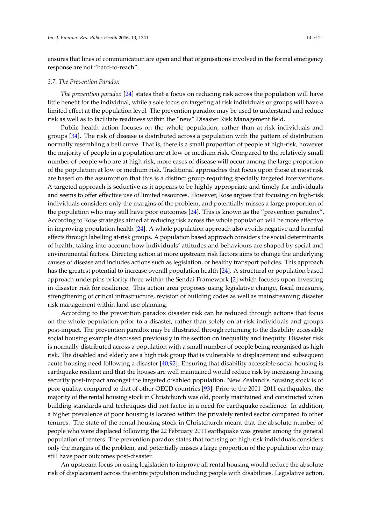ensures that lines of communication are open and that organisations involved in the formal emergency response are not "hard-to-reach".

#### *3.7. The Prevention Paradox*

*The prevention paradox* [\[24\]](#page-17-6) states that a focus on reducing risk across the population will have little benefit for the individual, while a sole focus on targeting at risk individuals or groups will have a limited effect at the population level. The prevention paradox may be used to understand and reduce risk as well as to facilitate readiness within the "new" Disaster Risk Management field.

Public health action focuses on the whole population, rather than at-risk individuals and groups [\[34\]](#page-17-16). The risk of disease is distributed across a population with the pattern of distribution normally resembling a bell curve. That is, there is a small proportion of people at high-risk, however the majority of people in a population are at low or medium risk. Compared to the relatively small number of people who are at high risk, more cases of disease will occur among the large proportion of the population at low or medium risk. Traditional approaches that focus upon those at most risk are based on the assumption that this is a distinct group requiring specially targeted interventions. A targeted approach is seductive as it appears to be highly appropriate and timely for individuals and seems to offer effective use of limited resources. However, Rose argues that focusing on high-risk individuals considers only the margins of the problem, and potentially misses a large proportion of the population who may still have poor outcomes [\[24\]](#page-17-6). This is known as the "prevention paradox". According to Rose strategies aimed at reducing risk across the whole population will be more effective in improving population health [\[24\]](#page-17-6). A whole population approach also avoids negative and harmful effects through labelling at-risk groups. A population based approach considers the social determinants of health, taking into account how individuals' attitudes and behaviours are shaped by social and environmental factors. Directing action at more upstream risk factors aims to change the underlying causes of disease and includes actions such as legislation, or healthy transport policies. This approach has the greatest potential to increase overall population health [\[24\]](#page-17-6). A structural or population based approach underpins priority three within the Sendai Framework [\[2\]](#page-16-1) which focuses upon investing in disaster risk for resilience. This action area proposes using legislative change, fiscal measures, strengthening of critical infrastructure, revision of building codes as well as mainstreaming disaster risk management within land use planning.

According to the prevention paradox disaster risk can be reduced through actions that focus on the whole population prior to a disaster, rather than solely on at-risk individuals and groups post-impact. The prevention paradox may be illustrated through returning to the disability accessible social housing example discussed previously in the section on inequality and inequity. Disaster risk is normally distributed across a population with a small number of people being recognised as high risk. The disabled and elderly are a high risk group that is vulnerable to displacement and subsequent acute housing need following a disaster [\[40,](#page-18-0)[92\]](#page-20-4). Ensuring that disability accessible social housing is earthquake resilient and that the houses are well maintained would reduce risk by increasing housing security post-impact amongst the targeted disabled population. New Zealand's housing stock is of poor quality, compared to that of other OECD countries [\[93\]](#page-20-5). Prior to the 2001–2011 earthquakes, the majority of the rental housing stock in Christchurch was old, poorly maintained and constructed when building standards and techniques did not factor in a need for earthquake resilience. In addition, a higher prevalence of poor housing is located within the privately rented sector compared to other tenures. The state of the rental housing stock in Christchurch meant that the absolute number of people who were displaced following the 22 February 2011 earthquake was greater among the general population of renters. The prevention paradox states that focusing on high-risk individuals considers only the margins of the problem, and potentially misses a large proportion of the population who may still have poor outcomes post-disaster.

An upstream focus on using legislation to improve all rental housing would reduce the absolute risk of displacement across the entire population including people with disabilities. Legislative action,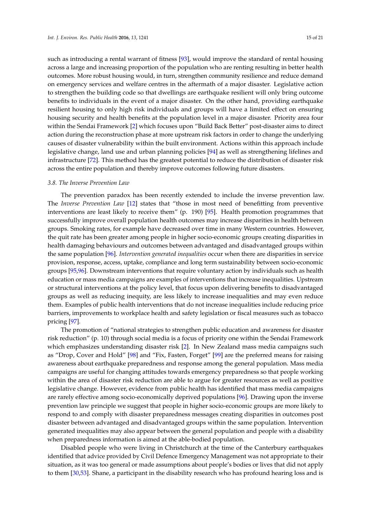such as introducing a rental warrant of fitness [\[93\]](#page-20-5), would improve the standard of rental housing across a large and increasing proportion of the population who are renting resulting in better health outcomes. More robust housing would, in turn, strengthen community resilience and reduce demand on emergency services and welfare centres in the aftermath of a major disaster. Legislative action to strengthen the building code so that dwellings are earthquake resilient will only bring outcome benefits to individuals in the event of a major disaster. On the other hand, providing earthquake resilient housing to only high risk individuals and groups will have a limited effect on ensuring housing security and health benefits at the population level in a major disaster. Priority area four within the Sendai Framework [\[2\]](#page-16-1) which focuses upon "Build Back Better" post-disaster aims to direct action during the reconstruction phase at more upstream risk factors in order to change the underlying causes of disaster vulnerability within the built environment. Actions within this approach include legislative change, land use and urban planning policies [\[94\]](#page-20-6) as well as strengthening lifelines and infrastructure [\[72\]](#page-19-8). This method has the greatest potential to reduce the distribution of disaster risk across the entire population and thereby improve outcomes following future disasters.

#### *3.8. The Inverse Prevention Law*

The prevention paradox has been recently extended to include the inverse prevention law. The *Inverse Prevention Law* [\[12\]](#page-16-11) states that "those in most need of benefitting from preventive interventions are least likely to receive them" (p. 190) [\[95\]](#page-20-7). Health promotion programmes that successfully improve overall population health outcomes may increase disparities in health between groups. Smoking rates, for example have decreased over time in many Western countries. However, the quit rate has been greater among people in higher socio-economic groups creating disparities in health damaging behaviours and outcomes between advantaged and disadvantaged groups within the same population [\[96\]](#page-20-8). *Intervention generated inequalities* occur when there are disparities in service provision, response, access, uptake, compliance and long term sustainability between socio-economic groups [\[95](#page-20-7)[,96\]](#page-20-8). Downstream interventions that require voluntary action by individuals such as health education or mass media campaigns are examples of interventions that increase inequalities. Upstream or structural interventions at the policy level, that focus upon delivering benefits to disadvantaged groups as well as reducing inequity, are less likely to increase inequalities and may even reduce them. Examples of public health interventions that do not increase inequalities include reducing price barriers, improvements to workplace health and safety legislation or fiscal measures such as tobacco pricing [\[97\]](#page-20-9).

The promotion of "national strategies to strengthen public education and awareness for disaster risk reduction" (p. 10) through social media is a focus of priority one within the Sendai Framework which emphasizes understanding disaster risk [\[2\]](#page-16-1). In New Zealand mass media campaigns such as "Drop, Cover and Hold" [\[98\]](#page-20-10) and "Fix, Fasten, Forget" [\[99\]](#page-20-11) are the preferred means for raising awareness about earthquake preparedness and response among the general population. Mass media campaigns are useful for changing attitudes towards emergency preparedness so that people working within the area of disaster risk reduction are able to argue for greater resources as well as positive legislative change. However, evidence from public health has identified that mass media campaigns are rarely effective among socio-economically deprived populations [\[96\]](#page-20-8). Drawing upon the inverse prevention law principle we suggest that people in higher socio-economic groups are more likely to respond to and comply with disaster preparedness messages creating disparities in outcomes post disaster between advantaged and disadvantaged groups within the same population. Intervention generated inequalities may also appear between the general population and people with a disability when preparedness information is aimed at the able-bodied population.

Disabled people who were living in Christchurch at the time of the Canterbury earthquakes identified that advice provided by Civil Defence Emergency Management was not appropriate to their situation, as it was too general or made assumptions about people's bodies or lives that did not apply to them [\[30,](#page-17-12)[53\]](#page-18-12). Shane, a participant in the disability research who has profound hearing loss and is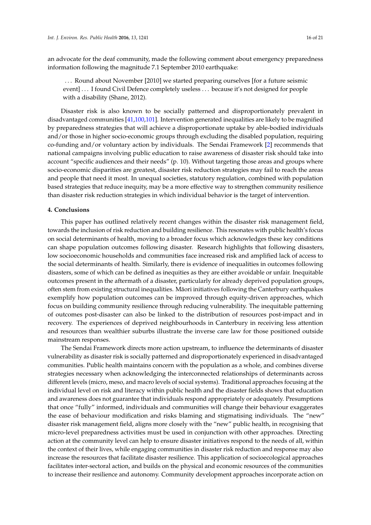an advocate for the deaf community, made the following comment about emergency preparedness information following the magnitude 7.1 September 2010 earthquake:

. . . Round about November [2010] we started preparing ourselves [for a future seismic event] . . . I found Civil Defence completely useless . . . because it's not designed for people with a disability (Shane, 2012).

Disaster risk is also known to be socially patterned and disproportionately prevalent in disadvantaged communities [\[41,](#page-18-23)[100,](#page-20-12)[101\]](#page-20-13). Intervention generated inequalities are likely to be magnified by preparedness strategies that will achieve a disproportionate uptake by able-bodied individuals and/or those in higher socio-economic groups through excluding the disabled population, requiring co-funding and/or voluntary action by individuals. The Sendai Framework [\[2\]](#page-16-1) recommends that national campaigns involving public education to raise awareness of disaster risk should take into account "specific audiences and their needs" (p. 10). Without targeting those areas and groups where socio-economic disparities are greatest, disaster risk reduction strategies may fail to reach the areas and people that need it most. In unequal societies, statutory regulation, combined with population based strategies that reduce inequity, may be a more effective way to strengthen community resilience than disaster risk reduction strategies in which individual behavior is the target of intervention.

# **4. Conclusions**

This paper has outlined relatively recent changes within the disaster risk management field, towards the inclusion of risk reduction and building resilience. This resonates with public health's focus on social determinants of health, moving to a broader focus which acknowledges these key conditions can shape population outcomes following disaster. Research highlights that following disasters, low socioeconomic households and communities face increased risk and amplified lack of access to the social determinants of health. Similarly, there is evidence of inequalities in outcomes following disasters, some of which can be defined as inequities as they are either avoidable or unfair. Inequitable outcomes present in the aftermath of a disaster, particularly for already deprived population groups, often stem from existing structural inequalities. Māori initiatives following the Canterbury earthquakes exemplify how population outcomes can be improved through equity-driven approaches, which focus on building community resilience through reducing vulnerability. The inequitable patterning of outcomes post-disaster can also be linked to the distribution of resources post-impact and in recovery. The experiences of deprived neighbourhoods in Canterbury in receiving less attention and resources than wealthier suburbs illustrate the inverse care law for those positioned outside mainstream responses.

The Sendai Framework directs more action upstream, to influence the determinants of disaster vulnerability as disaster risk is socially patterned and disproportionately experienced in disadvantaged communities. Public health maintains concern with the population as a whole, and combines diverse strategies necessary when acknowledging the interconnected relationships of determinants across different levels (micro, meso, and macro levels of social systems). Traditional approaches focusing at the individual level on risk and literacy within public health and the disaster fields shows that education and awareness does not guarantee that individuals respond appropriately or adequately. Presumptions that once "fully" informed, individuals and communities will change their behaviour exaggerates the ease of behaviour modification and risks blaming and stigmatising individuals. The "new" disaster risk management field, aligns more closely with the "new" public health, in recognising that micro-level preparedness activities must be used in conjunction with other approaches. Directing action at the community level can help to ensure disaster initiatives respond to the needs of all, within the context of their lives, while engaging communities in disaster risk reduction and response may also increase the resources that facilitate disaster resilience. This application of socioecological approaches facilitates inter-sectoral action, and builds on the physical and economic resources of the communities to increase their resilience and autonomy. Community development approaches incorporate action on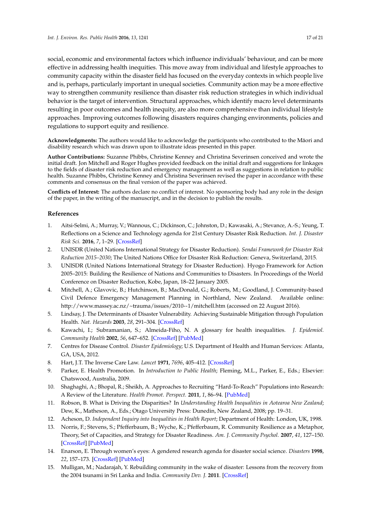social, economic and environmental factors which influence individuals' behaviour, and can be more effective in addressing health inequities. This move away from individual and lifestyle approaches to community capacity within the disaster field has focused on the everyday contexts in which people live and is, perhaps, particularly important in unequal societies. Community action may be a more effective way to strengthen community resilience than disaster risk reduction strategies in which individual behavior is the target of intervention. Structural approaches, which identify macro level determinants resulting in poor outcomes and health inequity, are also more comprehensive than individual lifestyle approaches. Improving outcomes following disasters requires changing environments, policies and regulations to support equity and resilience.

**Acknowledgments:** The authors would like to acknowledge the participants who contributed to the Maori and ¯ disability research which was drawn upon to illustrate ideas presented in this paper.

**Author Contributions:** Suzanne Phibbs, Christine Kenney and Christina Severinsen conceived and wrote the initial draft. Jon Mitchell and Roger Hughes provided feedback on the initial draft and suggestions for linkages to the fields of disaster risk reduction and emergency management as well as suggestions in relation to public health. Suzanne Phibbs, Christine Kenney and Christina Severinsen revised the paper in accordance with these comments and consensus on the final version of the paper was achieved.

**Conflicts of Interest:** The authors declare no conflict of interest. No sponsoring body had any role in the design of the paper, in the writing of the manuscript, and in the decision to publish the results.

# **References**

- <span id="page-16-0"></span>1. Aitsi-Selmi, A.; Murray, V.; Wannous, C.; Dickinson, C.; Johnston, D.; Kawasaki, A.; Stevance, A.-S.; Yeung, T. Reflections on a Science and Technology agenda for 21st Century Disaster Risk Reduction. *Int. J. Disaster Risk Sci.* **2016**, *7*, 1–29. [\[CrossRef\]](http://dx.doi.org/10.1007/s13753-016-0081-x)
- <span id="page-16-1"></span>2. UNISDR (United Nations International Strategy for Disaster Reduction). *Sendai Framework for Disaster Risk Reduction 2015–2030*; The United Nations Office for Disaster Risk Reduction: Geneva, Switzerland, 2015.
- <span id="page-16-2"></span>3. UNISDR (United Nations International Strategy for Disaster Reduction). Hyogo Framework for Action 2005–2015: Building the Resilience of Nations and Communities to Disasters. In Proceedings of the World Conference on Disaster Reduction, Kobe, Japan, 18–22 January 2005.
- <span id="page-16-3"></span>4. Mitchell, A.; Glavovic, B.; Hutchinson, B.; MacDonald, G.; Roberts, M.; Goodland, J. Community-based Civil Defence Emergency Management Planning in Northland, New Zealand. Available online: <http://www.massey.ac.nz/~trauma/issues/2010--1/mitchell.htm> (accessed on 22 August 2016).
- <span id="page-16-4"></span>5. Lindsay, J. The Determinants of Disaster Vulnerability. Achieving Sustainable Mitigation through Population Health. *Nat. Hazards* **2003**, *28*, 291–304. [\[CrossRef\]](http://dx.doi.org/10.1023/A:1022969705867)
- <span id="page-16-5"></span>6. Kawachi, I.; Subramanian, S.; Almeida-Fiho, N. A glossary for health inequalities. *J. Epidemiol. Community Health* **2002**, *56*, 647–652. [\[CrossRef\]](http://dx.doi.org/10.1136/jech.56.9.647) [\[PubMed\]](http://www.ncbi.nlm.nih.gov/pubmed/12177079)
- <span id="page-16-6"></span>7. Centres for Disease Control. *Disaster Epidemiology*; U.S. Department of Health and Human Services: Atlanta, GA, USA, 2012.
- <span id="page-16-7"></span>8. Hart, J.T. The Inverse Care Law. *Lancet* **1971**, *7696*, 405–412. [\[CrossRef\]](http://dx.doi.org/10.1016/S0140-6736(71)92410-X)
- <span id="page-16-8"></span>9. Parker, E. Health Promotion. In *Introduction to Public Health*; Fleming, M.L., Parker, E., Eds.; Elsevier: Chatswood, Australia, 2009.
- <span id="page-16-9"></span>10. Shaghaghi, A.; Bhopal, R.; Sheikh, A. Approaches to Recruiting "Hard-To-Reach" Populations into Research: A Review of the Literature. *Health Promot. Perspect.* **2011**, *1*, 86–94. [\[PubMed\]](http://www.ncbi.nlm.nih.gov/pubmed/24688904)
- <span id="page-16-10"></span>11. Robson, B. What is Driving the Disparities? In *Understanding Health Inequalities in Aotearoa New Zealand*; Dew, K., Matheson, A., Eds.; Otago University Press: Dunedin, New Zealand, 2008; pp. 19–31.
- <span id="page-16-11"></span>12. Acheson, D. *Independent Inquiry into Inequalities in Health Report*; Department of Health: London, UK, 1998.
- <span id="page-16-12"></span>13. Norris, F.; Stevens, S.; Pfefferbaum, B.; Wyche, K.; Pfefferbaum, R. Community Resilience as a Metaphor, Theory, Set of Capacities, and Strategy for Disaster Readiness. *Am. J. Community Psychol.* **2007**, *41*, 127–150. [\[CrossRef\]](http://dx.doi.org/10.1007/s10464-007-9156-6) [\[PubMed\]](http://www.ncbi.nlm.nih.gov/pubmed/18157631)
- <span id="page-16-13"></span>14. Enarson, E. Through women's eyes: A gendered research agenda for disaster social science. *Disasters* **1998**, *22*, 157–173. [\[CrossRef\]](http://dx.doi.org/10.1111/1467-7717.00083) [\[PubMed\]](http://www.ncbi.nlm.nih.gov/pubmed/9654814)
- 15. Mulligan, M.; Nadarajah, Y. Rebuilding community in the wake of disaster: Lessons from the recovery from the 2004 tsunami in Sri Lanka and India. *Community Dev. J.* **2011**. [\[CrossRef\]](http://dx.doi.org/10.1093/cdj/bsr025)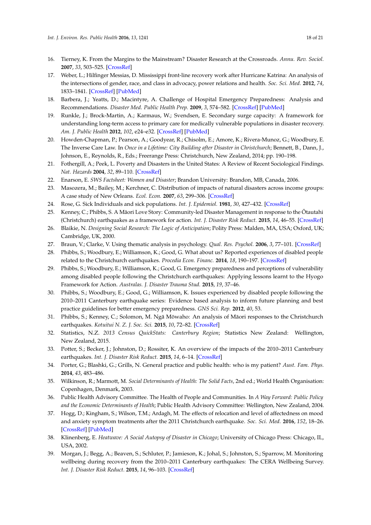- 16. Tierney, K. From the Margins to the Mainstream? Disaster Research at the Crossroads. *Annu. Rev. Sociol.* **2007**, *33*, 503–525. [\[CrossRef\]](http://dx.doi.org/10.1146/annurev.soc.33.040406.131743)
- <span id="page-17-0"></span>17. Weber, L.; Hilfinger Messias, D. Mississippi front-line recovery work after Hurricane Katrina: An analysis of the intersections of gender, race, and class in advocacy, power relations and health. *Soc. Sci. Med.* **2012**, *74*, 1833–1841. [\[CrossRef\]](http://dx.doi.org/10.1016/j.socscimed.2011.08.034) [\[PubMed\]](http://www.ncbi.nlm.nih.gov/pubmed/21978634)
- <span id="page-17-1"></span>18. Barbera, J.; Yeatts, D.; Macintyre, A. Challenge of Hospital Emergency Preparedness: Analysis and Recommendations. *Disaster Med. Public Health Prep.* **2009**, *3*, 574–582. [\[CrossRef\]](http://dx.doi.org/10.1097/DMP.0b013e31819f754c) [\[PubMed\]](http://www.ncbi.nlm.nih.gov/pubmed/19491592)
- <span id="page-17-2"></span>19. Runkle, J.; Brock-Martin, A.; Karmaus, W.; Svendsen, E. Secondary surge capacity: A framework for understanding long-term access to primary care for medically vulnerable populations in disaster recovery. *Am. J. Public Health* **2012**, *102*, e24–e32. [\[CrossRef\]](http://dx.doi.org/10.2105/AJPH.2012.301027) [\[PubMed\]](http://www.ncbi.nlm.nih.gov/pubmed/23078479)
- <span id="page-17-3"></span>20. Howden-Chapman, P.; Pearson, A.; Goodyear, R.; Chisolm, E.; Amore, K.; Rivera-Munoz, G.; Woodbury, E. The Inverse Care Law. In *Once in a Lifetime: City Building after Disaster in Christchurch*; Bennett, B., Dann, J., Johnson, E., Reynolds, R., Eds.; Freerange Press: Christchurch, New Zealand, 2014; pp. 190–198.
- <span id="page-17-4"></span>21. Fothergill, A.; Peek, L. Poverty and Disasters in the United States: A Review of Recent Sociological Findings. *Nat. Hazards* **2004**, *32*, 89–110. [\[CrossRef\]](http://dx.doi.org/10.1023/B:NHAZ.0000026792.76181.d9)
- 22. Enarson, E. *SWS Factsheet: Women and Disaster*; Brandon University: Brandon, MB, Canada, 2006.
- <span id="page-17-5"></span>23. Masozera, M.; Bailey, M.; Kerchner, C. Distribution of impacts of natural disasters across income groups: A case study of New Orleans. *Ecol. Econ.* **2007**, *63*, 299–306. [\[CrossRef\]](http://dx.doi.org/10.1016/j.ecolecon.2006.06.013)
- <span id="page-17-7"></span><span id="page-17-6"></span>24. Rose, G. Sick Individuals and sick populations. *Int. J. Epidemiol.* **1981**, *30*, 427–432. [\[CrossRef\]](http://dx.doi.org/10.1093/ije/30.3.427)
- 25. Kenney, C.; Phibbs, S. A Māori Love Story: Community-led Disaster Management in response to the Ōtautahi (Christchurch) earthquakes as a framework for action. *Int. J. Disaster Risk Reduct.* **2015**, *14*, 46–55. [\[CrossRef\]](http://dx.doi.org/10.1016/j.ijdrr.2014.12.010)
- <span id="page-17-8"></span>26. Blaikie, N. *Designing Social Research: The Logic of Anticipation*; Polity Press: Malden, MA, USA; Oxford, UK; Cambridge, UK, 2000.
- <span id="page-17-9"></span>27. Braun, V.; Clarke, V. Using thematic analysis in psychology. *Qual. Res. Psychol.* **2006**, *3*, 77–101. [\[CrossRef\]](http://dx.doi.org/10.1191/1478088706qp063oa)
- <span id="page-17-10"></span>28. Phibbs, S.; Woodbury, E.; Williamson, K.; Good, G. What about us? Reported experiences of disabled people related to the Christchurch earthquakes. *Procedia Econ. Financ.* **2014**, *18*, 190–197. [\[CrossRef\]](http://dx.doi.org/10.1016/S2212-5671(14)00930-7)
- <span id="page-17-11"></span>29. Phibbs, S.; Woodbury, E.; Williamson, K.; Good, G. Emergency preparedness and perceptions of vulnerability among disabled people following the Christchurch earthquakes: Applying lessons learnt to the Hyogo Framework for Action. *Australas. J. Disaster Trauma Stud.* **2015**, *19*, 37–46.
- <span id="page-17-12"></span>30. Phibbs, S.; Woodbury, E.; Good, G.; Williamson, K. Issues experienced by disabled people following the 2010–2011 Canterbury earthquake series: Evidence based analysis to inform future planning and best practice guidelines for better emergency preparedness. *GNS Sci. Rep.* **2012**, *40*, 53.
- <span id="page-17-13"></span>31. Phibbs, S.; Kenney, C.; Solomon, M. Ngā Mōwaho: An analysis of Māori responses to the Christchurch earthquakes. *Kotuitui N. Z. J. Soc. Sci.* **2015**, *10*, 72–82. [\[CrossRef\]](http://dx.doi.org/10.1080/1177083X.2015.1066401)
- <span id="page-17-14"></span>32. Statistics, N.Z. *2013 Census QuickStats: Canterbury Region*; Statistics New Zealand: Wellington, New Zealand, 2015.
- <span id="page-17-15"></span>33. Potter, S.; Becker, J.; Johnston, D.; Rossiter, K. An overview of the impacts of the 2010–2011 Canterbury earthquakes. *Int. J. Disaster Risk Reduct.* **2015**, *14*, 6–14. [\[CrossRef\]](http://dx.doi.org/10.1016/j.ijdrr.2015.01.014)
- <span id="page-17-16"></span>34. Porter, G.; Blashki, G.; Grills, N. General practice and public health: who is my patient? *Aust. Fam. Phys.* **2014**, *43*, 483–486.
- <span id="page-17-17"></span>35. Wilkinson, R.; Marmott, M. *Social Determinants of Health: The Solid Facts*, 2nd ed.; World Health Organisation: Copenhagen, Denmark, 2003.
- <span id="page-17-18"></span>36. Public Health Advisory Committee. The Health of People and Communities. In *A Way Forward: Public Policy and the Economic Determinants of Health*; Public Health Advisory Committee: Wellington, New Zealand, 2004.
- <span id="page-17-19"></span>37. Hogg, D.; Kingham, S.; Wilson, T.M.; Ardagh, M. The effects of relocation and level of affectedness on mood and anxiety symptom treatments after the 2011 Christchurch earthquake. *Soc. Sci. Med.* **2016**, *152*, 18–26. [\[CrossRef\]](http://dx.doi.org/10.1016/j.socscimed.2016.01.025) [\[PubMed\]](http://www.ncbi.nlm.nih.gov/pubmed/26826805)
- <span id="page-17-20"></span>38. Klinenberg, E. *Heatwave: A Social Autopsy of Disaster in Chicago*; University of Chicago Press: Chicago, IL, USA, 2002.
- <span id="page-17-21"></span>39. Morgan, J.; Begg, A.; Beaven, S.; Schluter, P.; Jamieson, K.; Johal, S.; Johnston, S.; Sparrow, M. Monitoring wellbeing during recovery from the 2010–2011 Canterbury earthquakes: The CERA Wellbeing Survey. *Int. J. Disaster Risk Reduct.* **2015**, *14*, 96–103. [\[CrossRef\]](http://dx.doi.org/10.1016/j.ijdrr.2015.01.012)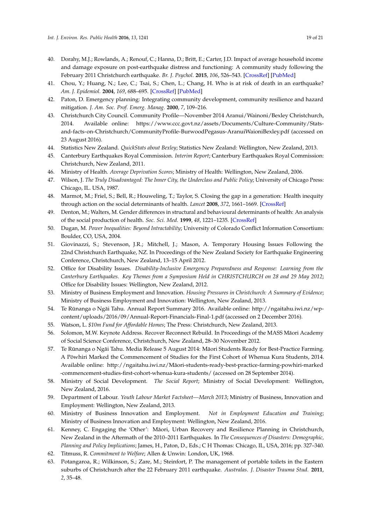- <span id="page-18-0"></span>40. Dorahy, M.J.; Rowlands, A.; Renouf, C.; Hanna, D.; Britt, E.; Carter, J.D. Impact of average household income and damage exposure on post-earthquake distress and functioning: A community study following the February 2011 Christchurch earthquake. *Br. J. Psychol.* **2015**, *106*, 526–543. [\[CrossRef\]](http://dx.doi.org/10.1111/bjop.12097) [\[PubMed\]](http://www.ncbi.nlm.nih.gov/pubmed/25267100)
- <span id="page-18-23"></span>41. Chou, Y.; Huang, N.; Lee, C.; Tsai, S.; Chen, L.; Chang, H. Who is at risk of death in an earthquake? *Am. J. Epidemiol.* **2004**, *169*, 688–695. [\[CrossRef\]](http://dx.doi.org/10.1093/aje/kwh270) [\[PubMed\]](http://www.ncbi.nlm.nih.gov/pubmed/15383413)
- <span id="page-18-1"></span>42. Paton, D. Emergency planning: Integrating community development, community resilience and hazard mitigation. *J. Am. Soc. Prof. Emerg. Manag.* **2000**, *7*, 109–216.
- <span id="page-18-2"></span>43. Christchurch City Council. Community Profile—November 2014 Aranui/Wainoni/Bexley Christchurch, 2014. Available online: [https://www.ccc.govt.nz/assets/Documents/Culture-Community/Stats](https://www.ccc.govt.nz/assets/Documents/Culture-Community/Stats-and-facts-on-Christchurch/CommunityProfile-BurwoodPegasus-AranuiWaioniBexley.pdf)[and-facts-on-Christchurch/CommunityProfile-BurwoodPegasus-AranuiWaioniBexley.pdf](https://www.ccc.govt.nz/assets/Documents/Culture-Community/Stats-and-facts-on-Christchurch/CommunityProfile-BurwoodPegasus-AranuiWaioniBexley.pdf) (accessed on 23 August 2016).
- <span id="page-18-3"></span>44. Statistics New Zealand. *QuickStats about Bexley*; Statistics New Zealand: Wellington, New Zealand, 2013.
- <span id="page-18-4"></span>45. Canterbury Earthquakes Royal Commission. *Interim Report*; Canterbury Earthquakes Royal Commission: Christchurch, New Zealand, 2011.
- <span id="page-18-5"></span>46. Ministry of Health. *Average Deprivation Scores*; Ministry of Health: Wellington, New Zealand, 2006.
- <span id="page-18-6"></span>47. Wilson, J. *The Truly Disadvantaged: The Inner City, the Underclass and Public Policy*; University of Chicago Press: Chicago, IL. USA, 1987.
- <span id="page-18-7"></span>48. Marmot, M.; Friel, S.; Bell, R.; Houweling, T.; Taylor, S. Closing the gap in a generation: Health inequity through action on the social determinants of health. *Lancet* **2008**, *372*, 1661–1669. [\[CrossRef\]](http://dx.doi.org/10.1016/S0140-6736(08)61690-6)
- <span id="page-18-8"></span>49. Denton, M.; Walters, M. Gender differences in structural and behavioural determinants of health: An analysis of the social production of health. *Soc. Sci. Med.* **1999**, *48*, 1221–1235. [\[CrossRef\]](http://dx.doi.org/10.1016/S0277-9536(98)00421-3)
- <span id="page-18-9"></span>50. Dugan, M. *Power Inequalities: Beyond Intractability*; University of Colorado Conflict Information Consortium: Boulder, CO, USA, 2004.
- <span id="page-18-10"></span>51. Giovinazzi, S.; Stevenson, J.R.; Mitchell, J.; Mason, A. Temporary Housing Issues Following the 22nd Christchurch Earthquake, NZ. In Proceedings of the New Zealand Society for Earthquake Engineering Conference, Christchurch, New Zealand, 13–15 April 2012.
- <span id="page-18-11"></span>52. Office for Disability Issues. *Disability-Inclusive Emergency Preparedness and Response: Learning from the Canterbury Earthquakes. Key Themes from a Symposium Held in CHRISTCHURCH on 28 and 29 May 2012*; Office for Disability Issues: Wellington, New Zealand, 2012.
- <span id="page-18-12"></span>53. Ministry of Business Employment and Innovation. *Housing Pressures in Christchurch: A Summary of Evidence*; Ministry of Business Employment and Innovation: Wellington, New Zealand, 2013.
- <span id="page-18-13"></span>54. Te Rūnanga o Ngāi Tahu. Annual Report Summary 2016. Available online: [http://ngaitahu.iwi.nz/wp](http://ngaitahu.iwi.nz/wp-content/uploads/2016/09/Annual-Report-Financials-Final-1.pdf)[content/uploads/2016/09/Annual-Report-Financials-Final-1.pdf](http://ngaitahu.iwi.nz/wp-content/uploads/2016/09/Annual-Report-Financials-Final-1.pdf) (accessed on 2 December 2016).
- <span id="page-18-14"></span>55. Watson, L. *\$10m Fund for Affordable Homes*; The Press: Christchurch, New Zealand, 2013.
- <span id="page-18-15"></span>56. Solomon, M.W. Keynote Address. Recover Reconnect Rebuild. In Proceedings of the MASS Māori Academy of Social Science Conference, Christchurch, New Zealand, 28–30 November 2012.
- <span id="page-18-16"></span>57. Te Rūnanga o Ngāi Tahu. Media Release 5 August 2014: Māori Students Ready for Best-Practice Farming. A Pōwhiri Marked the Commencement of Studies for the First Cohort of Whenua Kura Students, 2014. Available online: http://ngaitahu.iwi.nz/Maori-students-ready-best-practice-farming-powhiri-marked ¯ -commencement-studies-first-cohort-whenua-kura-students/ (accessed on 28 September 2014).
- <span id="page-18-17"></span>58. Ministry of Social Development. *The Social Report*; Ministry of Social Development: Wellington, New Zealand, 2016.
- <span id="page-18-18"></span>59. Department of Labour. *Youth Labour Market Factsheet—March 2013*; Ministry of Business, Innovation and Employment: Wellington, New Zealand, 2013.
- <span id="page-18-19"></span>60. Ministry of Business Innovation and Employment. *Not in Employment Education and Training*; Ministry of Business Innovation and Employment: Wellington, New Zealand, 2016.
- <span id="page-18-20"></span>61. Kenney, C. Engaging the 'Other': Māori, Urban Recovery and Resilience Planning in Christchurch, New Zealand in the Aftermath of the 2010–2011 Earthquakes. In *The Consequences of Disasters: Demographic, Planning and Policy Implications*; James, H., Paton, D., Eds.; C H Thomas: Chicago, IL, USA, 2016; pp. 327–340.
- <span id="page-18-21"></span>62. Titmuss, R. *Commitment to Welfare*; Allen & Unwin: London, UK, 1968.
- <span id="page-18-22"></span>63. Potangaroa, R.; Wilkinson, S.; Zare, M.; Steinfort, P. The management of portable toilets in the Eastern suburbs of Christchurch after the 22 February 2011 earthquake. *Australas. J. Disaster Trauma Stud.* **2011**, *2*, 35–48.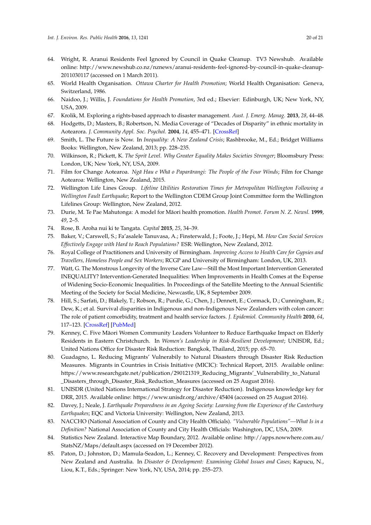- <span id="page-19-0"></span>64. Wright, R. Aranui Residents Feel Ignored by Council in Quake Cleanup. TV3 Newshub. Available online: [http://www.newshub.co.nz/nznews/aranui-residents-feel-ignored-by-council-in-quake-cleanup-](http://www.newshub.co.nz/nznews/aranui-residents-feel-ignored-by-council-in-quake-cleanup-2011030117)[2011030117](http://www.newshub.co.nz/nznews/aranui-residents-feel-ignored-by-council-in-quake-cleanup-2011030117) (accessed on 1 March 2011).
- <span id="page-19-1"></span>65. World Health Organisation. *Ottawa Charter for Health Promotion*; World Health Organisation: Geneva, Switzerland, 1986.
- <span id="page-19-2"></span>66. Naidoo, J.; Willis, J. *Foundations for Health Promotion*, 3rd ed.; Elsevier: Edinburgh, UK; New York, NY, USA, 2009.
- <span id="page-19-4"></span><span id="page-19-3"></span>67. Krolik, M. Exploring a rights-based approach to disaster management. *Aust. J. Emerg. Manag.* **2013**, *28*, 44–48.
- 68. Hodgetts, D.; Masters, B.; Robertson, N. Media Coverage of "Decades of Disparity" in ethnic mortality in Aotearora. *J. Community Appl. Soc. Psychol.* **2004**, *14*, 455–471. [\[CrossRef\]](http://dx.doi.org/10.1002/casp.792)
- <span id="page-19-5"></span>69. Smith, L. The Future is Now. In *Inequality: A New Zealand Crisis*; Rashbrooke, M., Ed.; Bridget Williams Books: Wellington, New Zealand, 2013; pp. 228–235.
- <span id="page-19-6"></span>70. Wilkinson, R.; Pickett, K. *The Sprit Level. Why Greater Equality Makes Societies Stronger*; Bloomsbury Press: London, UK; New York, NY, USA, 2009.
- <span id="page-19-7"></span>71. Film for Change Aotearoa. *Ngā Hau e Whā o Paparārangi: The People of the Four Winds; Film for Change* Aotearoa: Wellington, New Zealand, 2015.
- <span id="page-19-8"></span>72. Wellington Life Lines Group. *Lifeline Utilities Restoration Times for Metropolitan Wellington Following a Wellington Fault Earthquake*; Report to the Wellington CDEM Group Joint Committee form the Wellington Lifelines Group: Wellington, New Zealand, 2012.
- <span id="page-19-9"></span>73. Durie, M. Te Pae Mahutonga: A model for Māori health promotion. *Health Promot. Forum N. Z. Newsl.* 1999, *49*, 2–5.
- <span id="page-19-10"></span>74. Rose, B. Aroha nui ki te Tangata. *Capital* **2015**, *25*, 34–39.
- <span id="page-19-11"></span>75. Baker, V.; Carswell, S.; Fa'asalele Tanuvasa, A.; Finsterwald, J.; Foote, J.; Hepi, M. *How Can Social Services Effectively Engage with Hard to Reach Populations?* ESR: Wellington, New Zealand, 2012.
- <span id="page-19-12"></span>76. Royal College of Practitioners and University of Birmingham. *Improving Access to Health Care for Gypsies and Travellers, Homeless People and Sex Workers*; RCGP and University of Birmingham: London, UK, 2013.
- <span id="page-19-13"></span>77. Watt, G. The Monstrous Longevity of the Inverse Care Law—Still the Most Important Intervention Generated INEQUALITY? Intervention-Generated Inequalities: When Improvements in Health Comes at the Expense of Widening Socio-Economic Inequalities. In Proceedings of the Satellite Meeting to the Annual Scientific Meeting of the Society for Social Medicine, Newcastle, UK, 8 September 2009.
- <span id="page-19-14"></span>78. Hill, S.; Sarfati, D.; Blakely, T.; Robson, R.; Purdie, G.; Chen, J.; Dennett, E.; Cormack, D.; Cunningham, R.; Dew, K.; et al. Survival disparities in Indigenous and non-Indigenous New Zealanders with colon cancer: The role of patient comorbidity, treatment and health service factors. *J. Epidemiol. Community Health* **2010**, *64*, 117–123. [\[CrossRef\]](http://dx.doi.org/10.1136/jech.2008.083816) [\[PubMed\]](http://www.ncbi.nlm.nih.gov/pubmed/20056966)
- <span id="page-19-15"></span>79. Kenney, C. Five Māori Women Community Leaders Volunteer to Reduce Earthquake Impact on Elderly Residents in Eastern Christchurch. In *Women's Leadership in Risk-Resilient Development*; UNISDR, Ed.; United Nations Office for Disaster Risk Reduction: Bangkok, Thailand, 2015; pp. 65–70.
- <span id="page-19-16"></span>80. Guadagno, L. Reducing Migrants' Vulnerabily to Natural Disasters through Disaster Risk Reduction Measures. Migrants in Countries in Crisis Initiative (MICIC): Technical Report, 2015. Available online: https://www.researchgate.net/publication/290121319\_Reducing\_Migrants'\_Vulnerability\_to\_Natural \_Disasters\_through\_Disaster\_Risk\_Reduction\_Measures (accessed on 25 August 2016).
- <span id="page-19-17"></span>81. UNISDR (United Nations International Strategy for Disaster Reduction). Indigenous knowledge key for DRR, 2015. Available online: <https://www.unisdr.org/archive/45404> (accessed on 25 August 2016).
- <span id="page-19-18"></span>82. Davey, J.; Neale, J. *Earthquake Preparedness in an Ageing Society: Learning from the Experience of the Canterbury Earthquakes*; EQC and Victoria University: Wellington, New Zealand, 2013.
- <span id="page-19-19"></span>83. NACCHO (National Association of County and City Health Officials). *"Vulnerable Populations"—What Is in a Definition?* National Association of County and City Health Officials: Washington, DC, USA, 2009.
- <span id="page-19-20"></span>84. Statistics New Zealand. Interactive Map Boundary, 2012. Available online: [http://apps.nowwhere.com.au/](http://apps.nowwhere.com.au/StatsNZ/Maps/default.aspx) [StatsNZ/Maps/default.aspx](http://apps.nowwhere.com.au/StatsNZ/Maps/default.aspx) (accessed on 19 December 2012).
- <span id="page-19-21"></span>85. Paton, D.; Johnston, D.; Mamula-Seadon, L.; Kenney, C. Recovery and Development: Perspectives from New Zealand and Australia. In *Disaster & Development: Examining Global Issues and Cases*; Kapucu, N., Liou, K.T., Eds.; Springer: New York, NY, USA, 2014; pp. 255–273.